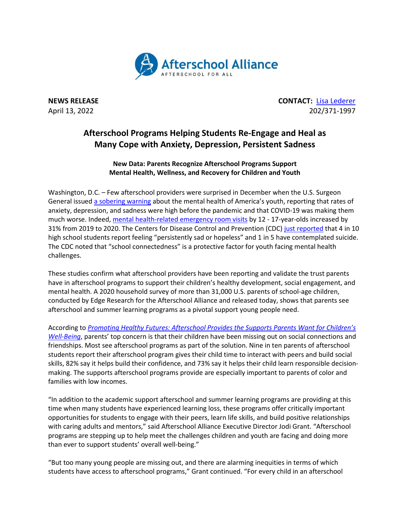

**NEWS RELEASE CONTACT:** [Lisa Lederer](mailto:lisa@prsolutionsdc.com) April 13, 2022 202/371-1997

## **Afterschool Programs Helping Students Re-Engage and Heal as Many Cope with Anxiety, Depression, Persistent Sadness**

**New Data: Parents Recognize Afterschool Programs Support Mental Health, Wellness, and Recovery for Children and Youth**

Washington, D.C. – Few afterschool providers were surprised in December when the U.S. Surgeon General issue[d a sobering warning](https://www.hhs.gov/about/news/2021/12/07/us-surgeon-general-issues-advisory-on-youth-mental-health-crisis-further-exposed-by-covid-19-pandemic.html) about the mental health of America's youth, reporting that rates of anxiety, depression, and sadness were high before the pandemic and that COVID-19 was making them much worse. Indeed, [mental health-related emergency room visits](https://www.cdc.gov/mmwr/volumes/69/wr/mm6945a3.htm) by 12 - 17-year-olds increased by 31% from 2019 to 2020. The Centers for Disease Control and Prevention (CDC[\) just reported](https://www.cdc.gov/nchhstp/newsroom/2022/2021-ABES-findings-press-release.html) that 4 in 10 high school students report feeling "persistently sad or hopeless" and 1 in 5 have contemplated suicide. The CDC noted that "school connectedness" is a protective factor for youth facing mental health challenges.

These studies confirm what afterschool providers have been reporting and validate the trust parents have in afterschool programs to support their children's healthy development, social engagement, and mental health. A 2020 household survey of more than 31,000 U.S. parents of school-age children, conducted by Edge Research for the Afterschool Alliance and released today, shows that parents see afterschool and summer learning programs as a pivotal support young people need.

According to *[Promoting Healthy Futures: Afterschool Provides the Supports Parents Want for Children's](http://afterschoolalliance.org/documents/AA3PM/AA3PM-Healthy-Futures-Report-2022.pdf) [Well-Being](http://afterschoolalliance.org/documents/AA3PM/AA3PM-Healthy-Futures-Report-2022.pdf)*, parents' top concern is that their children have been missing out on social connections and friendships. Most see afterschool programs as part of the solution. Nine in ten parents of afterschool students report their afterschool program gives their child time to interact with peers and build social skills, 82% say it helps build their confidence, and 73% say it helps their child learn responsible decisionmaking. The supports afterschool programs provide are especially important to parents of color and families with low incomes.

"In addition to the academic support afterschool and summer learning programs are providing at this time when many students have experienced learning loss, these programs offer critically important opportunities for students to engage with their peers, learn life skills, and build positive relationships with caring adults and mentors," said Afterschool Alliance Executive Director Jodi Grant. "Afterschool programs are stepping up to help meet the challenges children and youth are facing and doing more than ever to support students' overall well-being."

"But too many young people are missing out, and there are alarming inequities in terms of which students have access to afterschool programs," Grant continued. "For every child in an afterschool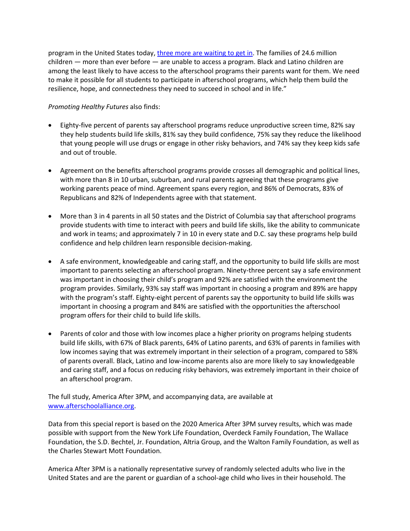program in the United States today[, three more are waiting to get in.](http://www.afterschoolalliance.org/AA3PM/) The families of 24.6 million children — more than ever before — are unable to access a program. Black and Latino children are among the least likely to have access to the afterschool programs their parents want for them. We need to make it possible for all students to participate in afterschool programs, which help them build the resilience, hope, and connectedness they need to succeed in school and in life."

## *Promoting Healthy Futures* also finds:

- Eighty-five percent of parents say afterschool programs reduce unproductive screen time, 82% say they help students build life skills, 81% say they build confidence, 75% say they reduce the likelihood that young people will use drugs or engage in other risky behaviors, and 74% say they keep kids safe and out of trouble.
- Agreement on the benefits afterschool programs provide crosses all demographic and political lines, with more than 8 in 10 urban, suburban, and rural parents agreeing that these programs give working parents peace of mind. Agreement spans every region, and 86% of Democrats, 83% of Republicans and 82% of Independents agree with that statement.
- More than 3 in 4 parents in all 50 states and the District of Columbia say that afterschool programs provide students with time to interact with peers and build life skills, like the ability to communicate and work in teams; and approximately 7 in 10 in every state and D.C. say these programs help build confidence and help children learn responsible decision-making.
- A safe environment, knowledgeable and caring staff, and the opportunity to build life skills are most important to parents selecting an afterschool program. Ninety-three percent say a safe environment was important in choosing their child's program and 92% are satisfied with the environment the program provides. Similarly, 93% say staff was important in choosing a program and 89% are happy with the program's staff. Eighty-eight percent of parents say the opportunity to build life skills was important in choosing a program and 84% are satisfied with the opportunities the afterschool program offers for their child to build life skills.
- Parents of color and those with low incomes place a higher priority on programs helping students build life skills, with 67% of Black parents, 64% of Latino parents, and 63% of parents in families with low incomes saying that was extremely important in their selection of a program, compared to 58% of parents overall. Black, Latino and low-income parents also are more likely to say knowledgeable and caring staff, and a focus on reducing risky behaviors, was extremely important in their choice of an afterschool program.

The full study, America After 3PM, and accompanying data, are available at [www.afterschoolalliance.org.](http://www.afterschoolalliance.org/)

Data from this special report is based on the 2020 America After 3PM survey results, which was made possible with support from the New York Life Foundation, Overdeck Family Foundation, The Wallace Foundation, the S.D. Bechtel, Jr. Foundation, Altria Group, and the Walton Family Foundation, as well as the Charles Stewart Mott Foundation.

America After 3PM is a nationally representative survey of randomly selected adults who live in the United States and are the parent or guardian of a school-age child who lives in their household. The